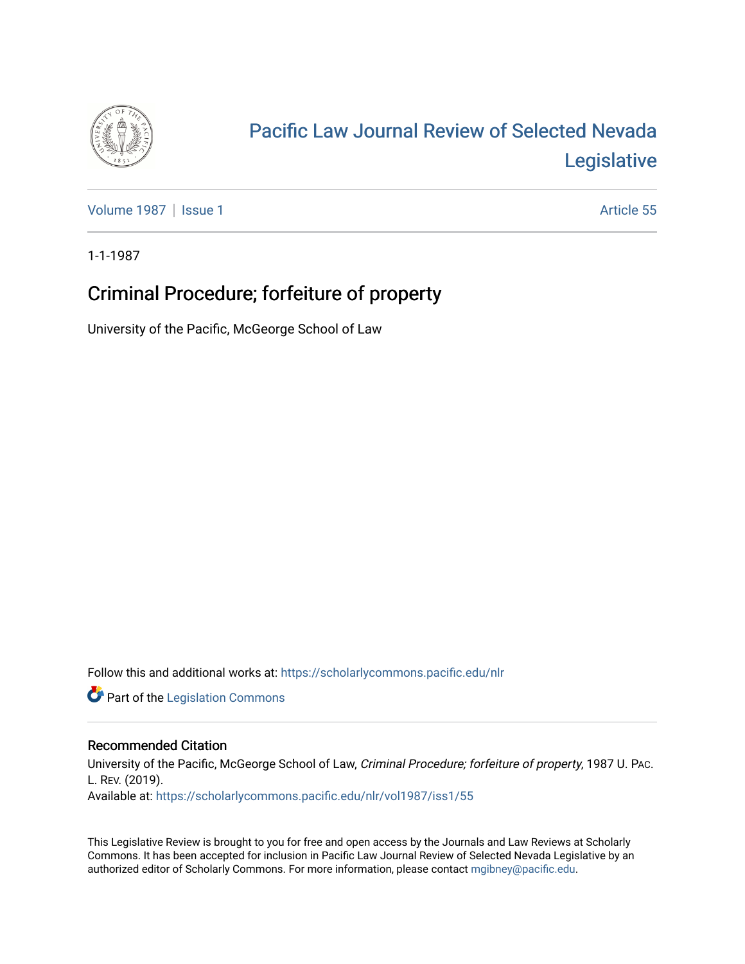

## [Pacific Law Journal Review of Selected Nevada](https://scholarlycommons.pacific.edu/nlr)  [Legislative](https://scholarlycommons.pacific.edu/nlr)

[Volume 1987](https://scholarlycommons.pacific.edu/nlr/vol1987) | [Issue 1](https://scholarlycommons.pacific.edu/nlr/vol1987/iss1) Article 55

1-1-1987

## Criminal Procedure; forfeiture of property

University of the Pacific, McGeorge School of Law

Follow this and additional works at: [https://scholarlycommons.pacific.edu/nlr](https://scholarlycommons.pacific.edu/nlr?utm_source=scholarlycommons.pacific.edu%2Fnlr%2Fvol1987%2Fiss1%2F55&utm_medium=PDF&utm_campaign=PDFCoverPages) 

**Part of the [Legislation Commons](http://network.bepress.com/hgg/discipline/859?utm_source=scholarlycommons.pacific.edu%2Fnlr%2Fvol1987%2Fiss1%2F55&utm_medium=PDF&utm_campaign=PDFCoverPages)** 

## Recommended Citation

University of the Pacific, McGeorge School of Law, Criminal Procedure; forfeiture of property, 1987 U. PAC. L. REV. (2019). Available at: [https://scholarlycommons.pacific.edu/nlr/vol1987/iss1/55](https://scholarlycommons.pacific.edu/nlr/vol1987/iss1/55?utm_source=scholarlycommons.pacific.edu%2Fnlr%2Fvol1987%2Fiss1%2F55&utm_medium=PDF&utm_campaign=PDFCoverPages)

This Legislative Review is brought to you for free and open access by the Journals and Law Reviews at Scholarly Commons. It has been accepted for inclusion in Pacific Law Journal Review of Selected Nevada Legislative by an authorized editor of Scholarly Commons. For more information, please contact [mgibney@pacific.edu](mailto:mgibney@pacific.edu).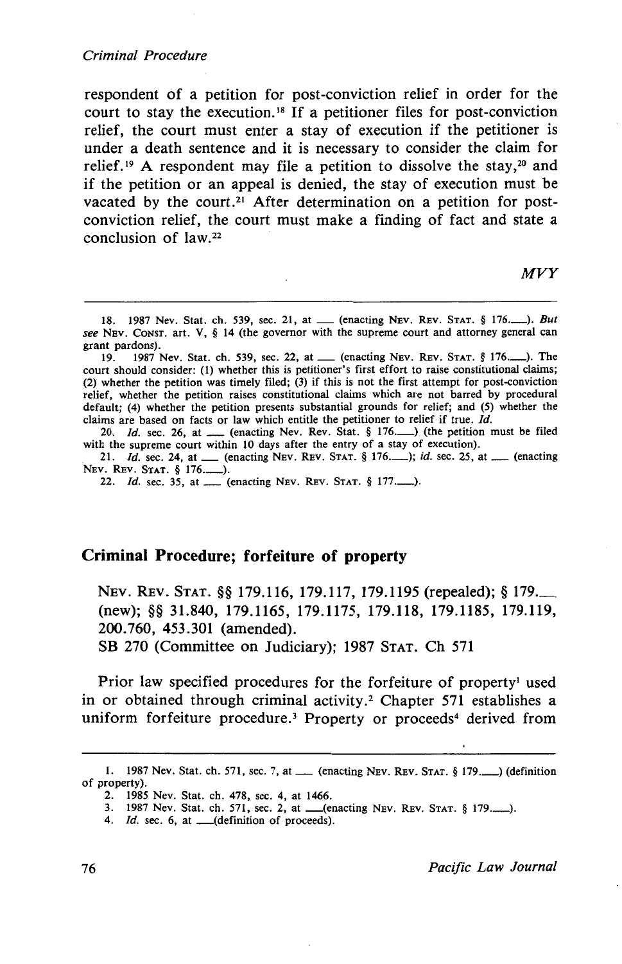respondent of a petition for post-conviction relief in order for the court to stay the execution. <sup>18</sup>If a petitioner files for post-conviction relief, the court must enter a stay of execution if the petitioner is under a death sentence and it is necessary to consider the claim for relief.<sup>19</sup> A respondent may file a petition to dissolve the stay,<sup>20</sup> and if the petition or an appeal is denied, the stay of execution must be vacated by the court.<sup>21</sup> After determination on a petition for postconviction relief, the court must make a finding of fact and state a conclusion of law. 22

*MVY* 

## **Criminal Procedure; forfeiture of property**

NEv. REv. STAT.§§ 179.116, 179.117, 179.1195 (repealed);§ 179.\_ (new); §§ 31.840, 179.1165, 179.1175, 179.118, 179.1185, 179.119, 200.760, 453.301 (amended).

SB 270 (Committee on Judiciary); 1987 STAT. Ch 571

Prior law specified procedures for the forfeiture of property<sup>1</sup> used in or obtained through criminal activity.<sup>2</sup> Chapter 571 establishes a uniform forfeiture procedure.<sup>3</sup> Property or proceeds<sup>4</sup> derived from

<sup>18. 1987</sup> Nev. Stat. ch. 539, sec. 21, at \_\_ (enacting Nev. Rev. Stat. § 176........). *But see* NEv. CoNST. art. V, § 14 (the governor with the supreme court and attorney general can grant pardons).<br> $19. 1987$ 

<sup>19. 1987</sup> Nev. Stat. ch. 539, sec. 22, at\_ (enacting NEv. REv. STAT. § 176.\_). The court should consider: (1) whether this is petitioner's first effort to raise constitutional claims; (2) whether the petition was timely flied; (3) if this is not the first attempt for post-conviction relief, whether the petition raises constitutional claims which are not barred by procedural default; (4) whether the petition presents substantial grounds for relief; and (5) whether the claims are based on facts or law which entitle the petitioner to relief if true. Id.

<sup>20.</sup> *Id.* sec. 26, at  $\frac{1}{2}$  (enacting Nev. Rev. Stat. § 176. ) (the petition must be filed with the supreme court within 10 days after the entry of a stay of execution).

with the supreme court within 10 days after the entry of a stay of execution).<br>21. *Id.* sec. 24, at \_\_\_ (enacting NEV. REV. STAT. § 176.\_\_\_); *id.* sec. 25, at \_\_\_ (enacting NEV. REV. STAT. § 176.\_\_\_).

<sup>22.</sup> *Id.* sec. 35, at \_\_\_ (enacting NEV. REV. STAT. § 177..........).

<sup>1. 1987</sup> Nev. Stat. ch. 571, sec. 7, at  $\qquad$  (enacting NEV. REV. STAT. § 179.  $\qquad$ ) (definition of property).

<sup>2. 1985</sup> Nev. Stat. ch. 478, sec. 4, at 1466.

<sup>3. 1987</sup> Nev. Stat. ch. 571, sec. 2, at \_(enacting NEv. REv. STAT. § 179.\_).

<sup>4.</sup> *Id.* sec. 6, at <u>\_\_</u>(definition of proceeds).